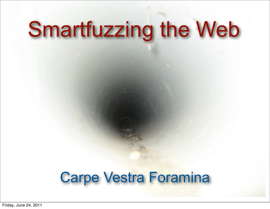# Smartfuzzing the Web

#### Carpe Vestra Foramina

Friday, June 24, 2011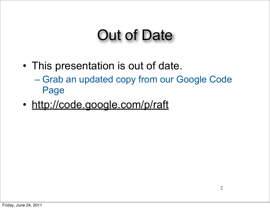### Out of Date

- This presentation is out of date. – Grab an updated copy from our Google Code Page
- <http://code.google.com/p/raft>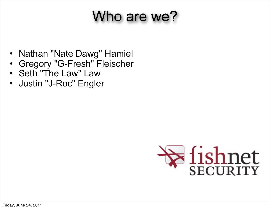### Who are we?

- Nathan "Nate Dawg" Hamiel
- Gregory "G-Fresh" Fleischer
- Seth "The Law" Law
- Justin "J-Roc" Engler

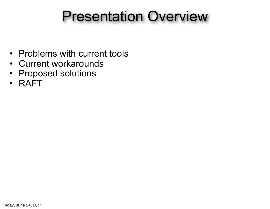#### Presentation Overview

- Problems with current tools
- Current workarounds
- Proposed solutions
- RAFT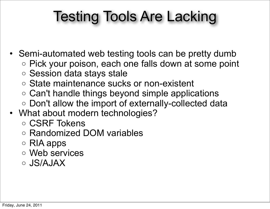# Testing Tools Are Lacking

- Semi-automated web testing tools can be pretty dumb
	- o Pick your poison, each one falls down at some point
	- o Session data stays stale
	- o State maintenance sucks or non-existent
	- o Can't handle things beyond simple applications
	- o Don't allow the import of externally-collected data
- What about modern technologies?
	- o CSRF Tokens
	- o Randomized DOM variables
	- o RIA apps
	- o Web services
	- o JS/AJAX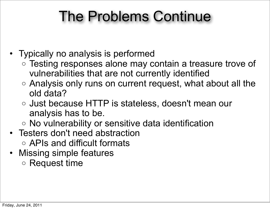## The Problems Continue

- Typically no analysis is performed
	- o Testing responses alone may contain a treasure trove of vulnerabilities that are not currently identified
	- o Analysis only runs on current request, what about all the old data?
	- o Just because HTTP is stateless, doesn't mean our analysis has to be.
	- o No vulnerability or sensitive data identification
- Testers don't need abstraction o APIs and difficult formats
- Missing simple features
	- o Request time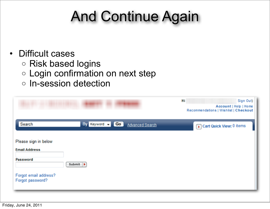# And Continue Again

#### • Difficult cases

- o Risk based logins
- o Login confirmation on next step
- o In-session detection

|                                                                                                       |                                    | Hi<br>Sign Out)<br>Account   Help   Home<br>Recommendations   Wishlist   Checkout |
|-------------------------------------------------------------------------------------------------------|------------------------------------|-----------------------------------------------------------------------------------|
| Search                                                                                                | By Keyword - Go<br>Advanced Search | Cart Quick View: 0 items                                                          |
| Please sign in below<br><b>Email Address</b><br>Password<br>Forgot email address?<br>Forgot password? | Submit   }                         |                                                                                   |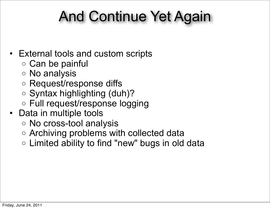## And Continue Yet Again

#### • External tools and custom scripts

- o Can be painful
- o No analysis
- o Request/response diffs
- o Syntax highlighting (duh)?
- o Full request/response logging
- Data in multiple tools
	- o No cross-tool analysis
	- o Archiving problems with collected data
	- o Limited ability to find "new" bugs in old data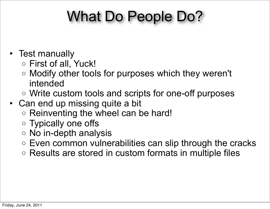## What Do People Do?

- Test manually
	- o First of all, Yuck!
	- o Modify other tools for purposes which they weren't intended
	- o Write custom tools and scripts for one-off purposes
- Can end up missing quite a bit
	- o Reinventing the wheel can be hard!
	- o Typically one offs
	- o No in-depth analysis
	- o Even common vulnerabilities can slip through the cracks
	- o Results are stored in custom formats in multiple files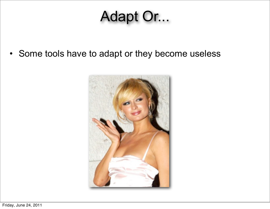### Adapt Or...

• Some tools have to adapt or they become useless

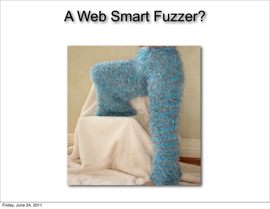#### A Web Smart Fuzzer?

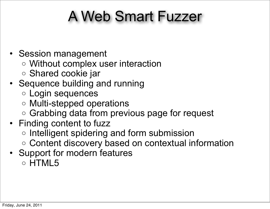## A Web Smart Fuzzer

- Session management
	- o Without complex user interaction
	- o Shared cookie jar
- Sequence building and running
	- o Login sequences
	- o Multi-stepped operations
	- o Grabbing data from previous page for request
- Finding content to fuzz
	- o Intelligent spidering and form submission
	- o Content discovery based on contextual information
- Support for modern features
	- o HTML5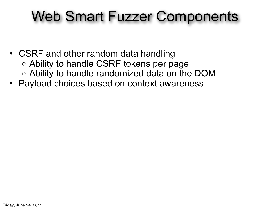#### Web Smart Fuzzer Components

- CSRF and other random data handling o Ability to handle CSRF tokens per page o Ability to handle randomized data on the DOM
- Payload choices based on context awareness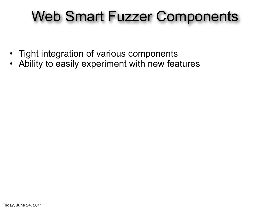#### Web Smart Fuzzer Components

- Tight integration of various components
- Ability to easily experiment with new features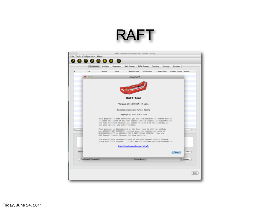#### RAFT

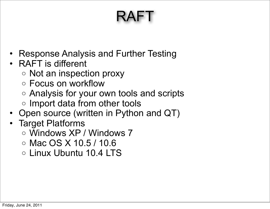# RAFT

- Response Analysis and Further Testing
- RAFT is different
	- o Not an inspection proxy
	- o Focus on workflow
	- o Analysis for your own tools and scripts
	- o Import data from other tools
- Open source (written in Python and QT)
- Target Platforms
	- o Windows XP / Windows 7
	- o Mac OS X 10.5 / 10.6
	- o Linux Ubuntu 10.4 LTS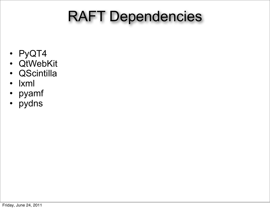# RAFT Dependencies

- PyQT4
- QtWebKit
- QScintilla
- lxml
- pyamf
- pydns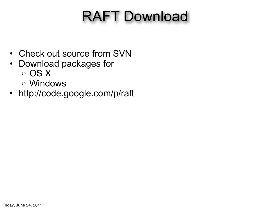# RAFT Download

- Check out source from SVN
- Download packages for o OS X
	- o Windows
- http://code.google.com/p/raft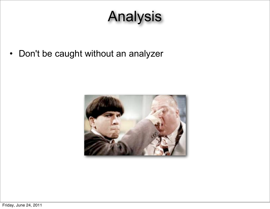# Analysis

• Don't be caught without an analyzer

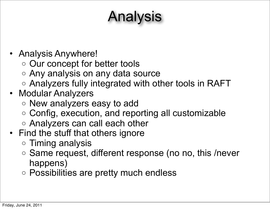# Analysis

- Analysis Anywhere!
	- o Our concept for better tools
	- o Any analysis on any data source
	- o Analyzers fully integrated with other tools in RAFT
- Modular Analyzers
	- o New analyzers easy to add
	- o Config, execution, and reporting all customizable
	- o Analyzers can call each other
- Find the stuff that others ignore
	- o Timing analysis
	- o Same request, different response (no no, this /never happens)
	- o Possibilities are pretty much endless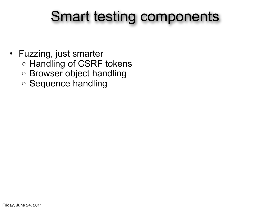#### Smart testing components

- Fuzzing, just smarter o Handling of CSRF tokens
	- o Browser object handling
	- o Sequence handling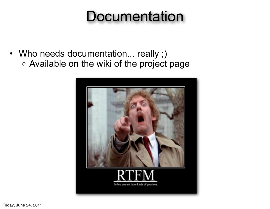#### **Documentation**

• Who needs documentation... really ;) o Available on the wiki of the project page

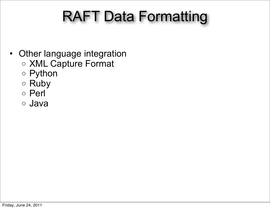# RAFT Data Formatting

- Other language integration
	- o XML Capture Format
	- o Python
	- o Ruby
	- o Perl
	- o Java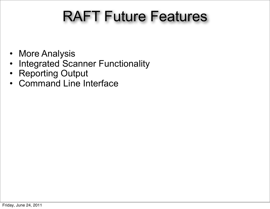# RAFT Future Features

- More Analysis
- Integrated Scanner Functionality
- Reporting Output
- Command Line Interface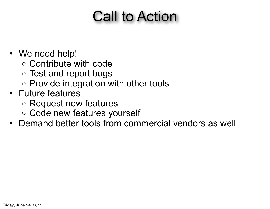#### Call to Action

- We need help!
	- o Contribute with code
	- o Test and report bugs
	- o Provide integration with other tools
- Future features
	- o Request new features
	- o Code new features yourself
- Demand better tools from commercial vendors as well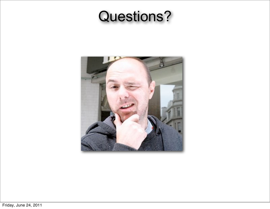#### Questions?